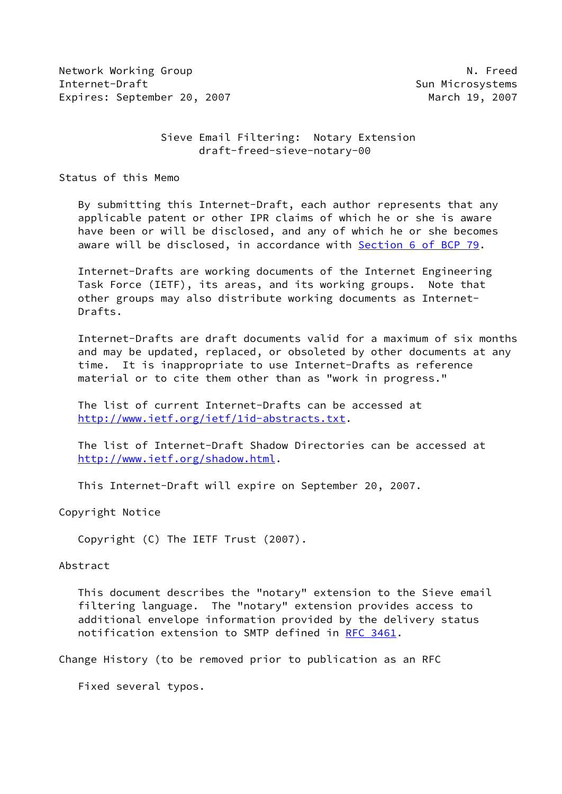Network Working Group Network Working Group Network Network Network Network Network Network Network Network Ne Internet-Draft Sun Microsystems Expires: September 20, 2007 March 19, 2007

 Sieve Email Filtering: Notary Extension draft-freed-sieve-notary-00

Status of this Memo

 By submitting this Internet-Draft, each author represents that any applicable patent or other IPR claims of which he or she is aware have been or will be disclosed, and any of which he or she becomes aware will be disclosed, in accordance with Section [6 of BCP 79.](https://datatracker.ietf.org/doc/pdf/bcp79#section-6)

 Internet-Drafts are working documents of the Internet Engineering Task Force (IETF), its areas, and its working groups. Note that other groups may also distribute working documents as Internet- Drafts.

 Internet-Drafts are draft documents valid for a maximum of six months and may be updated, replaced, or obsoleted by other documents at any time. It is inappropriate to use Internet-Drafts as reference material or to cite them other than as "work in progress."

 The list of current Internet-Drafts can be accessed at <http://www.ietf.org/ietf/1id-abstracts.txt>.

 The list of Internet-Draft Shadow Directories can be accessed at <http://www.ietf.org/shadow.html>.

This Internet-Draft will expire on September 20, 2007.

Copyright Notice

Copyright (C) The IETF Trust (2007).

## Abstract

 This document describes the "notary" extension to the Sieve email filtering language. The "notary" extension provides access to additional envelope information provided by the delivery status notification extension to SMTP defined in [RFC 3461](https://datatracker.ietf.org/doc/pdf/rfc3461).

Change History (to be removed prior to publication as an RFC

Fixed several typos.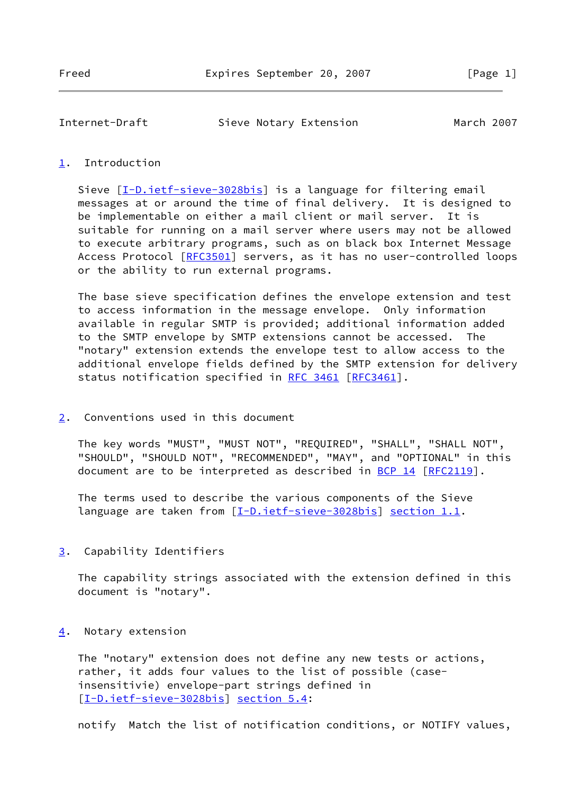| Internet-Draft | Sieve Notary Extension | March 2007 |
|----------------|------------------------|------------|
|----------------|------------------------|------------|

## <span id="page-1-0"></span>[1](#page-1-0). Introduction

Sieve [[I-D.ietf-sieve-3028bis](#page-3-0)] is a language for filtering email messages at or around the time of final delivery. It is designed to be implementable on either a mail client or mail server. It is suitable for running on a mail server where users may not be allowed to execute arbitrary programs, such as on black box Internet Message Access Protocol [\[RFC3501](https://datatracker.ietf.org/doc/pdf/rfc3501)] servers, as it has no user-controlled loops or the ability to run external programs.

 The base sieve specification defines the envelope extension and test to access information in the message envelope. Only information available in regular SMTP is provided; additional information added to the SMTP envelope by SMTP extensions cannot be accessed. The "notary" extension extends the envelope test to allow access to the additional envelope fields defined by the SMTP extension for delivery status notification specified in [RFC 3461](https://datatracker.ietf.org/doc/pdf/rfc3461) [[RFC3461](https://datatracker.ietf.org/doc/pdf/rfc3461)].

<span id="page-1-1"></span>[2](#page-1-1). Conventions used in this document

 The key words "MUST", "MUST NOT", "REQUIRED", "SHALL", "SHALL NOT", "SHOULD", "SHOULD NOT", "RECOMMENDED", "MAY", and "OPTIONAL" in this document are to be interpreted as described in [BCP 14](https://datatracker.ietf.org/doc/pdf/bcp14) [[RFC2119](https://datatracker.ietf.org/doc/pdf/rfc2119)].

 The terms used to describe the various components of the Sieve language are taken from [\[I-D.ietf-sieve-3028bis](#page-3-0)] section 1.1.

<span id="page-1-2"></span>[3](#page-1-2). Capability Identifiers

 The capability strings associated with the extension defined in this document is "notary".

<span id="page-1-3"></span>[4](#page-1-3). Notary extension

 The "notary" extension does not define any new tests or actions, rather, it adds four values to the list of possible (case insensitivie) envelope-part strings defined in [\[I-D.ietf-sieve-3028bis](#page-3-0)] section 5.4:

notify Match the list of notification conditions, or NOTIFY values,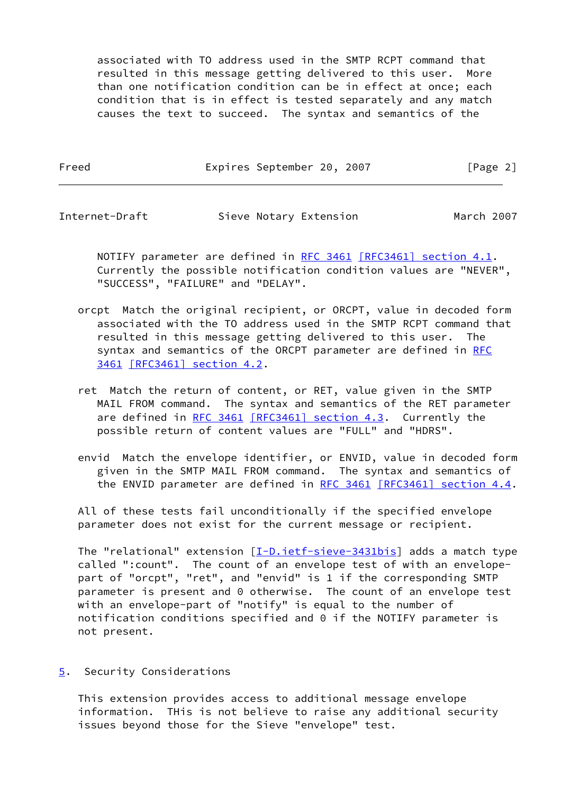associated with TO address used in the SMTP RCPT command that resulted in this message getting delivered to this user. More than one notification condition can be in effect at once; each condition that is in effect is tested separately and any match causes the text to succeed. The syntax and semantics of the

Freed Expires September 20, 2007 [Page 2]

Internet-Draft Sieve Notary Extension March 2007

NOTIFY parameter are defined in [RFC 3461](https://datatracker.ietf.org/doc/pdf/rfc3461) [\[RFC3461\] section](https://datatracker.ietf.org/doc/pdf/rfc3461#section-4.1) 4.1. Currently the possible notification condition values are "NEVER", "SUCCESS", "FAILURE" and "DELAY".

- orcpt Match the original recipient, or ORCPT, value in decoded form associated with the TO address used in the SMTP RCPT command that resulted in this message getting delivered to this user. The syntax and semantics of the ORCPT parameter are defined in [RFC](https://datatracker.ietf.org/doc/pdf/rfc3461) [3461](https://datatracker.ietf.org/doc/pdf/rfc3461) [\[RFC3461\] section](https://datatracker.ietf.org/doc/pdf/rfc3461#section-4.2) 4.2.
- ret Match the return of content, or RET, value given in the SMTP MAIL FROM command. The syntax and semantics of the RET parameter are defined in [RFC 3461](https://datatracker.ietf.org/doc/pdf/rfc3461) [\[RFC3461\] section](https://datatracker.ietf.org/doc/pdf/rfc3461#section-4.3) 4.3. Currently the possible return of content values are "FULL" and "HDRS".
- envid Match the envelope identifier, or ENVID, value in decoded form given in the SMTP MAIL FROM command. The syntax and semantics of the ENVID parameter are defined in [RFC 3461](https://datatracker.ietf.org/doc/pdf/rfc3461)  $[RFC3461]$  section 4.4.

 All of these tests fail unconditionally if the specified envelope parameter does not exist for the current message or recipient.

The "relational" extension [[I-D.ietf-sieve-3431bis](#page-4-0)] adds a match type called ":count". The count of an envelope test of with an envelope part of "orcpt", "ret", and "envid" is 1 if the corresponding SMTP parameter is present and 0 otherwise. The count of an envelope test with an envelope-part of "notify" is equal to the number of notification conditions specified and 0 if the NOTIFY parameter is not present.

<span id="page-2-0"></span>[5](#page-2-0). Security Considerations

 This extension provides access to additional message envelope information. THis is not believe to raise any additional security issues beyond those for the Sieve "envelope" test.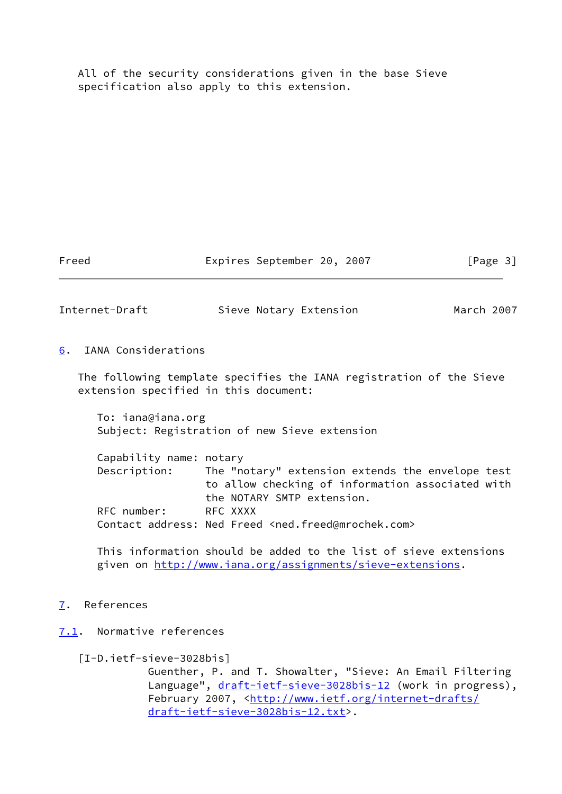All of the security considerations given in the base Sieve specification also apply to this extension.

Freed Expires September 20, 2007 [Page 3]

Internet-Draft Sieve Notary Extension March 2007

<span id="page-3-1"></span>[6](#page-3-1). IANA Considerations

 The following template specifies the IANA registration of the Sieve extension specified in this document:

 To: iana@iana.org Subject: Registration of new Sieve extension

 Capability name: notary Description: The "notary" extension extends the envelope test to allow checking of information associated with the NOTARY SMTP extension. RFC number: RFC XXXX Contact address: Ned Freed <ned.freed@mrochek.com>

 This information should be added to the list of sieve extensions given on [http://www.iana.org/assignments/sieve-extensions.](http://www.iana.org/assignments/sieve-extensions)

- <span id="page-3-2"></span>[7](#page-3-2). References
- <span id="page-3-3"></span><span id="page-3-0"></span>[7.1](#page-3-3). Normative references
	- [I-D.ietf-sieve-3028bis]

 Guenther, P. and T. Showalter, "Sieve: An Email Filtering Language", [draft-ietf-sieve-3028bis-12](https://datatracker.ietf.org/doc/pdf/draft-ietf-sieve-3028bis-12) (work in progress), February 2007, <[http://www.ietf.org/internet-drafts/](http://www.ietf.org/internet-drafts/draft-ietf-sieve-3028bis-12.txt) [draft-ietf-sieve-3028bis-12.txt](http://www.ietf.org/internet-drafts/draft-ietf-sieve-3028bis-12.txt)>.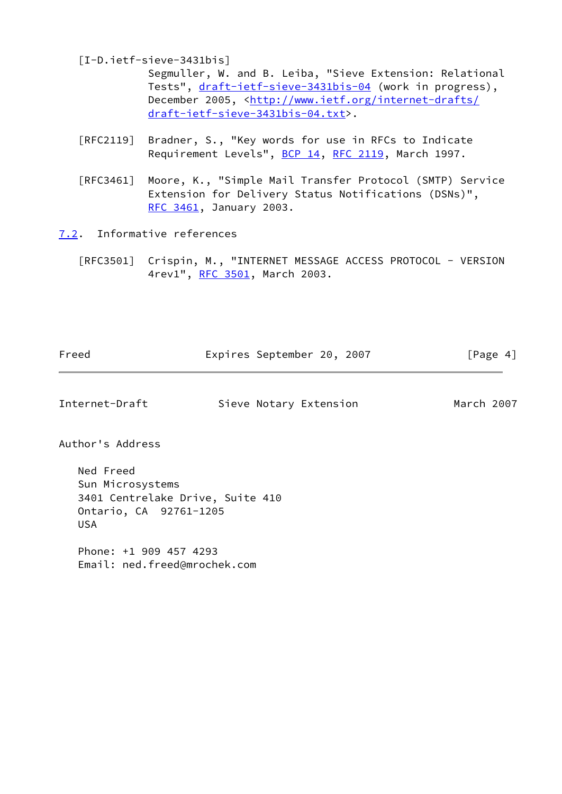<span id="page-4-0"></span>[I-D.ietf-sieve-3431bis]

 Segmuller, W. and B. Leiba, "Sieve Extension: Relational Tests", [draft-ietf-sieve-3431bis-04](https://datatracker.ietf.org/doc/pdf/draft-ietf-sieve-3431bis-04) (work in progress), December 2005, <[http://www.ietf.org/internet-drafts/](http://www.ietf.org/internet-drafts/draft-ietf-sieve-3431bis-04.txt) [draft-ietf-sieve-3431bis-04.txt](http://www.ietf.org/internet-drafts/draft-ietf-sieve-3431bis-04.txt)>.

- [RFC2119] Bradner, S., "Key words for use in RFCs to Indicate Requirement Levels", [BCP 14](https://datatracker.ietf.org/doc/pdf/bcp14), [RFC 2119](https://datatracker.ietf.org/doc/pdf/rfc2119), March 1997.
- [RFC3461] Moore, K., "Simple Mail Transfer Protocol (SMTP) Service Extension for Delivery Status Notifications (DSNs)", [RFC 3461,](https://datatracker.ietf.org/doc/pdf/rfc3461) January 2003.

<span id="page-4-1"></span>[7.2](#page-4-1). Informative references

 [RFC3501] Crispin, M., "INTERNET MESSAGE ACCESS PROTOCOL - VERSION 4rev1", [RFC 3501,](https://datatracker.ietf.org/doc/pdf/rfc3501) March 2003.

| Freed | Expires September 20, 2007 |  | [Page 4] |
|-------|----------------------------|--|----------|

Internet-Draft Sieve Notary Extension March 2007

Author's Address

 Ned Freed Sun Microsystems 3401 Centrelake Drive, Suite 410 Ontario, CA 92761-1205 USA

 Phone: +1 909 457 4293 Email: ned.freed@mrochek.com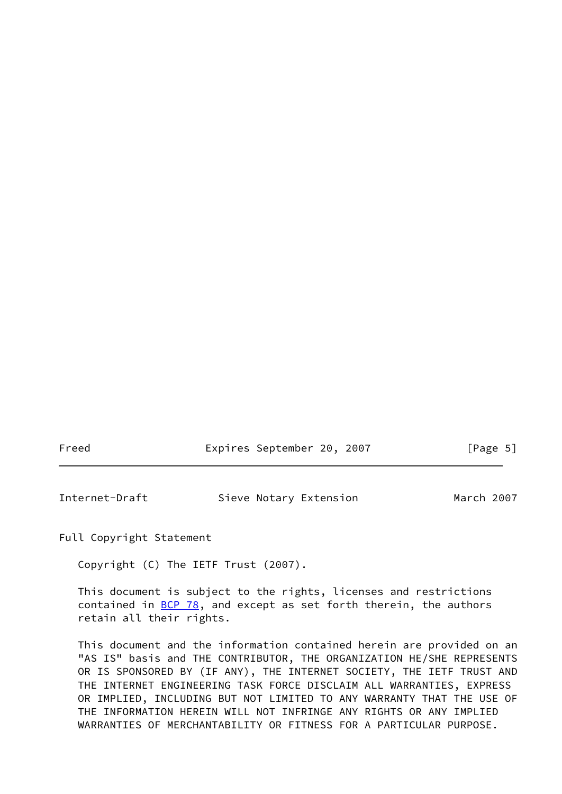| Freed |  | Expires September 20, 2007 |  |  |  | [Page 5] |  |
|-------|--|----------------------------|--|--|--|----------|--|
|-------|--|----------------------------|--|--|--|----------|--|

| Internet-Draft | Sieve Notary Extension | March 2007 |
|----------------|------------------------|------------|
|                |                        |            |

Full Copyright Statement

Copyright (C) The IETF Trust (2007).

 This document is subject to the rights, licenses and restrictions contained in  $\underline{BCP}$  78, and except as set forth therein, the authors retain all their rights.

 This document and the information contained herein are provided on an "AS IS" basis and THE CONTRIBUTOR, THE ORGANIZATION HE/SHE REPRESENTS OR IS SPONSORED BY (IF ANY), THE INTERNET SOCIETY, THE IETF TRUST AND THE INTERNET ENGINEERING TASK FORCE DISCLAIM ALL WARRANTIES, EXPRESS OR IMPLIED, INCLUDING BUT NOT LIMITED TO ANY WARRANTY THAT THE USE OF THE INFORMATION HEREIN WILL NOT INFRINGE ANY RIGHTS OR ANY IMPLIED WARRANTIES OF MERCHANTABILITY OR FITNESS FOR A PARTICULAR PURPOSE.